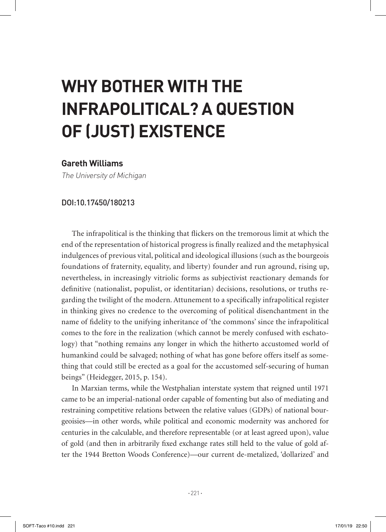## **WHY BOTHER WITH THE INFRAPOLITICAL? A QUESTION OF (JUST) EXISTENCE**

## **Gareth Williams**

The University of Michigan

## DOI:10.17450/180213

The infrapolitical is the thinking that flickers on the tremorous limit at which the end of the representation of historical progress is finally realized and the metaphysical indulgences of previous vital, political and ideological illusions (such as the bourgeois foundations of fraternity, equality, and liberty) founder and run aground, rising up, nevertheless, in increasingly vitriolic forms as subjectivist reactionary demands for definitive (nationalist, populist, or identitarian) decisions, resolutions, or truths regarding the twilight of the modern. Attunement to a specifically infrapolitical register in thinking gives no credence to the overcoming of political disenchantment in the name of fidelity to the unifying inheritance of 'the commons' since the infrapolitical comes to the fore in the realization (which cannot be merely confused with eschatology) that "nothing remains any longer in which the hitherto accustomed world of humankind could be salvaged; nothing of what has gone before offers itself as something that could still be erected as a goal for the accustomed self-securing of human beings" (Heidegger, 2015, p. 154).

In Marxian terms, while the Westphalian interstate system that reigned until 1971 came to be an imperial-national order capable of fomenting but also of mediating and restraining competitive relations between the relative values (GDPs) of national bourgeoisies—in other words, while political and economic modernity was anchored for centuries in the calculable, and therefore representable (or at least agreed upon), value of gold (and then in arbitrarily fixed exchange rates still held to the value of gold after the 1944 Bretton Woods Conference)—our current de-metalized, 'dollarized' and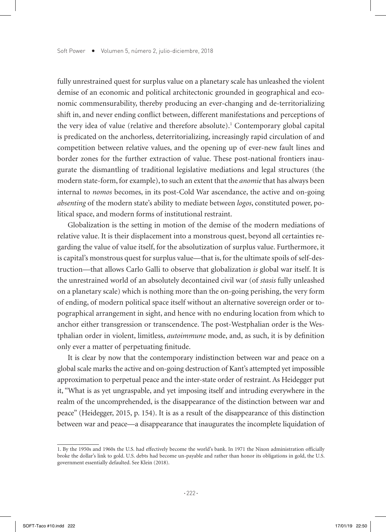fully unrestrained quest for surplus value on a planetary scale has unleashed the violent demise of an economic and political architectonic grounded in geographical and economic commensurability, thereby producing an ever-changing and de-territorializing shift in, and never ending conflict between, different manifestations and perceptions of the very idea of value (relative and therefore absolute).<sup>1</sup> Contemporary global capital is predicated on the anchorless, deterritorializing, increasingly rapid circulation of and competition between relative values, and the opening up of ever-new fault lines and border zones for the further extraction of value. These post-national frontiers inaugurate the dismantling of traditional legislative mediations and legal structures (the modern state-form, for example), to such an extent that the *anomie* that has always been internal to *nomos* becomes, in its post-Cold War ascendance, the active and on-going *absenting* of the modern state's ability to mediate between *logos*, constituted power, political space, and modern forms of institutional restraint.

Globalization is the setting in motion of the demise of the modern mediations of relative value. It is their displacement into a monstrous quest, beyond all certainties regarding the value of value itself, for the absolutization of surplus value. Furthermore, it is capital's monstrous quest for surplus value—that is, for the ultimate spoils of self-destruction—that allows Carlo Galli to observe that globalization *is* global war itself. It is the unrestrained world of an absolutely decontained civil war (of *stasis* fully unleashed on a planetary scale) which is nothing more than the on-going perishing, the very form of ending, of modern political space itself without an alternative sovereign order or topographical arrangement in sight, and hence with no enduring location from which to anchor either transgression or transcendence. The post-Westphalian order is the Westphalian order in violent, limitless, *autoimmune* mode, and, as such, it is by definition only ever a matter of perpetuating finitude.

It is clear by now that the contemporary indistinction between war and peace on a global scale marks the active and on-going destruction of Kant's attempted yet impossible approximation to perpetual peace and the inter-state order of restraint. As Heidegger put it, "What is as yet ungraspable, and yet imposing itself and intruding everywhere in the realm of the uncomprehended, is the disappearance of the distinction between war and peace" (Heidegger, 2015, p. 154). It is as a result of the disappearance of this distinction between war and peace—a disappearance that inaugurates the incomplete liquidation of

<sup>1.</sup> By the 1950s and 1960s the U.S. had effectively become the world's bank. In 1971 the Nixon administration officially broke the dollar's link to gold. U.S. debts had become un-payable and rather than honor its obligations in gold, the U.S. government essentially defaulted. See Klein (2018).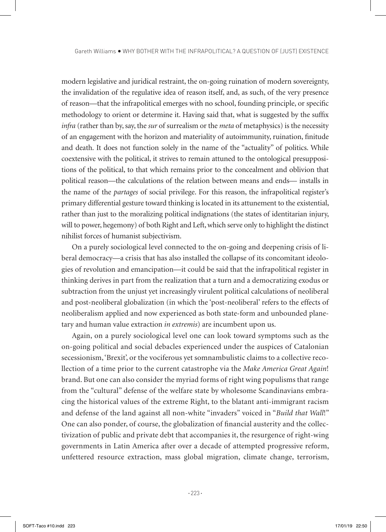modern legislative and juridical restraint, the on-going ruination of modern sovereignty, the invalidation of the regulative idea of reason itself, and, as such, of the very presence of reason—that the infrapolitical emerges with no school, founding principle, or specific methodology to orient or determine it. Having said that, what is suggested by the suffix *infra* (rather than by, say, the *sur* of surrealism or the *meta* of metaphysics) is the necessity of an engagement with the horizon and materiality of autoimmunity, ruination, finitude and death. It does not function solely in the name of the "actuality" of politics. While coextensive with the political, it strives to remain attuned to the ontological presuppositions of the political, to that which remains prior to the concealment and oblivion that political reason—the calculations of the relation between means and ends— installs in the name of the *partages* of social privilege. For this reason, the infrapolitical register's primary differential gesture toward thinking is located in its attunement to the existential, rather than just to the moralizing political indignations (the states of identitarian injury, will to power, hegemony) of both Right and Left, which serve only to highlight the distinct nihilist forces of humanist subjectivism.

On a purely sociological level connected to the on-going and deepening crisis of liberal democracy—a crisis that has also installed the collapse of its concomitant ideologies of revolution and emancipation—it could be said that the infrapolitical register in thinking derives in part from the realization that a turn and a democratizing exodus or subtraction from the unjust yet increasingly virulent political calculations of neoliberal and post-neoliberal globalization (in which the 'post-neoliberal' refers to the effects of neoliberalism applied and now experienced as both state-form and unbounded planetary and human value extraction *in extremis*) are incumbent upon us.

Again, on a purely sociological level one can look toward symptoms such as the on-going political and social debacles experienced under the auspices of Catalonian secessionism, 'Brexit', or the vociferous yet somnambulistic claims to a collective recollection of a time prior to the current catastrophe via the *Make America Great Again*! brand. But one can also consider the myriad forms of right wing populisms that range from the "cultural" defense of the welfare state by wholesome Scandinavians embracing the historical values of the extreme Right, to the blatant anti-immigrant racism and defense of the land against all non-white "invaders" voiced in "*Build that Wall*!" One can also ponder, of course, the globalization of financial austerity and the collectivization of public and private debt that accompanies it, the resurgence of right-wing governments in Latin America after over a decade of attempted progressive reform, unfettered resource extraction, mass global migration, climate change, terrorism,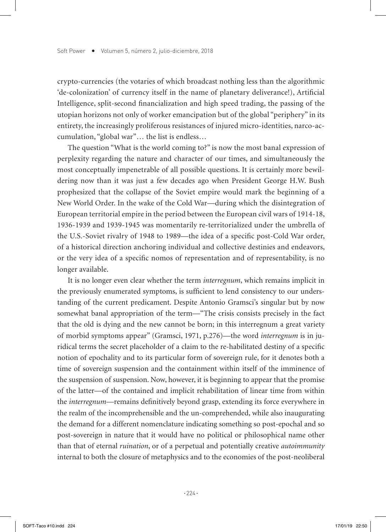crypto-currencies (the votaries of which broadcast nothing less than the algorithmic 'de-colonization' of currency itself in the name of planetary deliverance!), Artificial Intelligence, split-second financialization and high speed trading, the passing of the utopian horizons not only of worker emancipation but of the global "periphery" in its entirety, the increasingly proliferous resistances of injured micro-identities, narco-accumulation, "global war"… the list is endless…

The question "What is the world coming to?" is now the most banal expression of perplexity regarding the nature and character of our times, and simultaneously the most conceptually impenetrable of all possible questions. It is certainly more bewildering now than it was just a few decades ago when President George H.W. Bush prophesized that the collapse of the Soviet empire would mark the beginning of a New World Order. In the wake of the Cold War—during which the disintegration of European territorial empire in the period between the European civil wars of 1914-18, 1936-1939 and 1939-1945 was momentarily re-territorialized under the umbrella of the U.S.-Soviet rivalry of 1948 to 1989—the idea of a specific post-Cold War order, of a historical direction anchoring individual and collective destinies and endeavors, or the very idea of a specific nomos of representation and of representability, is no longer available.

It is no longer even clear whether the term *interregnum*, which remains implicit in the previously enumerated symptoms, is sufficient to lend consistency to our understanding of the current predicament. Despite Antonio Gramsci's singular but by now somewhat banal appropriation of the term—"The crisis consists precisely in the fact that the old is dying and the new cannot be born; in this interregnum a great variety of morbid symptoms appear" (Gramsci, 1971, p.276)—the word *interregnum* is in juridical terms the secret placeholder of a claim to the re-habilitated destiny of a specific notion of epochality and to its particular form of sovereign rule, for it denotes both a time of sovereign suspension and the containment within itself of the imminence of the suspension of suspension. Now, however, it is beginning to appear that the promise of the latter—of the contained and implicit rehabilitation of linear time from within the *interregnum*—remains definitively beyond grasp, extending its force everywhere in the realm of the incomprehensible and the un-comprehended, while also inaugurating the demand for a different nomenclature indicating something so post-epochal and so post-sovereign in nature that it would have no political or philosophical name other than that of eternal *ruination*, or of a perpetual and potentially creative *autoimmunity* internal to both the closure of metaphysics and to the economies of the post-neoliberal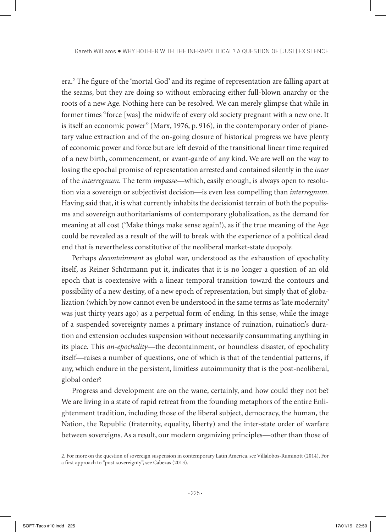era.2 The figure of the 'mortal God' and its regime of representation are falling apart at the seams, but they are doing so without embracing either full-blown anarchy or the roots of a new Age. Nothing here can be resolved. We can merely glimpse that while in former times "force [was] the midwife of every old society pregnant with a new one. It is itself an economic power" (Marx, 1976, p. 916), in the contemporary order of planetary value extraction and of the on-going closure of historical progress we have plenty of economic power and force but are left devoid of the transitional linear time required of a new birth, commencement, or avant-garde of any kind. We are well on the way to losing the epochal promise of representation arrested and contained silently in the *inter* of the *interregnum*. The term *impasse*—which, easily enough, is always open to resolution via a sovereign or subjectivist decision—is even less compelling than *interregnum*. Having said that, it is what currently inhabits the decisionist terrain of both the populisms and sovereign authoritarianisms of contemporary globalization, as the demand for meaning at all cost ('Make things make sense again!), as if the true meaning of the Age could be revealed as a result of the will to break with the experience of a political dead end that is nevertheless constitutive of the neoliberal market-state duopoly.

Perhaps *decontainment* as global war, understood as the exhaustion of epochality itself, as Reiner Schürmann put it, indicates that it is no longer a question of an old epoch that is coextensive with a linear temporal transition toward the contours and possibility of a new destiny, of a new epoch of representation, but simply that of globalization (which by now cannot even be understood in the same terms as 'late modernity' was just thirty years ago) as a perpetual form of ending. In this sense, while the image of a suspended sovereignty names a primary instance of ruination, ruination's duration and extension occludes suspension without necessarily consummating anything in its place. This *an-epochality*—the decontainment, or boundless disaster, of epochality itself—raises a number of questions, one of which is that of the tendential patterns, if any, which endure in the persistent, limitless autoimmunity that is the post-neoliberal, global order?

Progress and development are on the wane, certainly, and how could they not be? We are living in a state of rapid retreat from the founding metaphors of the entire Enlightenment tradition, including those of the liberal subject, democracy, the human, the Nation, the Republic (fraternity, equality, liberty) and the inter-state order of warfare between sovereigns. As a result, our modern organizing principles—other than those of

<sup>2.</sup> For more on the question of sovereign suspension in contemporary Latin America, see Villalobos-Ruminott (2014). For a first approach to "post-sovereignty", see Cabezas (2013).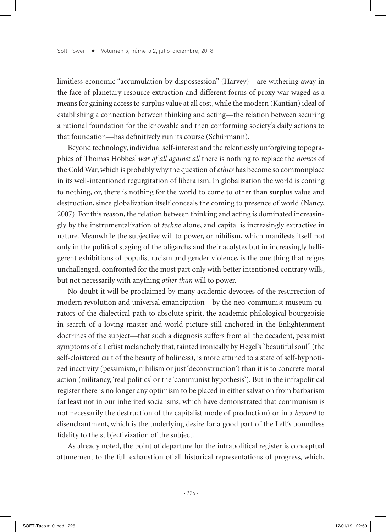limitless economic "accumulation by dispossession" (Harvey)—are withering away in the face of planetary resource extraction and different forms of proxy war waged as a means for gaining access to surplus value at all cost, while the modern (Kantian) ideal of establishing a connection between thinking and acting—the relation between securing a rational foundation for the knowable and then conforming society's daily actions to that foundation—has definitively run its course (Schürmann).

Beyond technology, individual self-interest and the relentlessly unforgiving topographies of Thomas Hobbes' *war of all against all* there is nothing to replace the *nomos* of the Cold War, which is probably why the question of *ethics* has become so commonplace in its well-intentioned regurgitation of liberalism. In globalization the world is coming to nothing, or, there is nothing for the world to come to other than surplus value and destruction, since globalization itself conceals the coming to presence of world (Nancy, 2007). For this reason, the relation between thinking and acting is dominated increasingly by the instrumentalization of *techne* alone, and capital is increasingly extractive in nature. Meanwhile the subjective will to power, or nihilism, which manifests itself not only in the political staging of the oligarchs and their acolytes but in increasingly belligerent exhibitions of populist racism and gender violence, is the one thing that reigns unchallenged, confronted for the most part only with better intentioned contrary wills, but not necessarily with anything *other than* will to power.

No doubt it will be proclaimed by many academic devotees of the resurrection of modern revolution and universal emancipation—by the neo-communist museum curators of the dialectical path to absolute spirit, the academic philological bourgeoisie in search of a loving master and world picture still anchored in the Enlightenment doctrines of the subject—that such a diagnosis suffers from all the decadent, pessimist symptoms of a Leftist melancholy that, tainted ironically by Hegel's "beautiful soul" (the self-cloistered cult of the beauty of holiness), is more attuned to a state of self-hypnotized inactivity (pessimism, nihilism or just 'deconstruction') than it is to concrete moral action (militancy, 'real politics' or the 'communist hypothesis'). But in the infrapolitical register there is no longer any optimism to be placed in either salvation from barbarism (at least not in our inherited socialisms, which have demonstrated that communism is not necessarily the destruction of the capitalist mode of production) or in a *beyond* to disenchantment, which is the underlying desire for a good part of the Left's boundless fidelity to the subjectivization of the subject.

As already noted, the point of departure for the infrapolitical register is conceptual attunement to the full exhaustion of all historical representations of progress, which,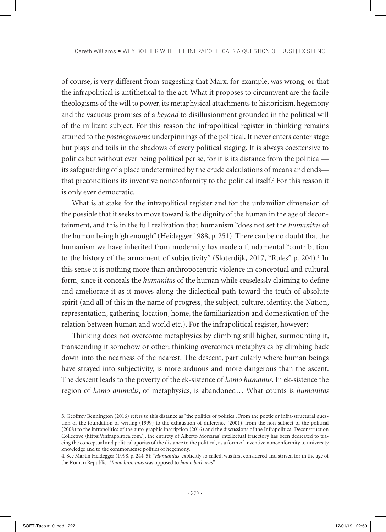of course, is very different from suggesting that Marx, for example, was wrong, or that the infrapolitical is antithetical to the act. What it proposes to circumvent are the facile theologisms of the will to power, its metaphysical attachments to historicism, hegemony and the vacuous promises of a *beyond* to disillusionment grounded in the political will of the militant subject. For this reason the infrapolitical register in thinking remains attuned to the *posthegemonic* underpinnings of the political. It never enters center stage but plays and toils in the shadows of every political staging. It is always coextensive to politics but without ever being political per se, for it is its distance from the political its safeguarding of a place undetermined by the crude calculations of means and ends that preconditions its inventive nonconformity to the political itself.<sup>3</sup> For this reason it is only ever democratic.

What is at stake for the infrapolitical register and for the unfamiliar dimension of the possible that it seeks to move toward is the dignity of the human in the age of decontainment, and this in the full realization that humanism "does not set the *humanitas* of the human being high enough" (Heidegger 1988, p. 251). There can be no doubt that the humanism we have inherited from modernity has made a fundamental "contribution to the history of the armament of subjectivity" (Sloterdijk, 2017, "Rules" p. 204).<sup>4</sup> In this sense it is nothing more than anthropocentric violence in conceptual and cultural form, since it conceals the *humanitas* of the human while ceaselessly claiming to define and ameliorate it as it moves along the dialectical path toward the truth of absolute spirit (and all of this in the name of progress, the subject, culture, identity, the Nation, representation, gathering, location, home, the familiarization and domestication of the relation between human and world etc.). For the infrapolitical register, however:

Thinking does not overcome metaphysics by climbing still higher, surmounting it, transcending it somehow or other; thinking overcomes metaphysics by climbing back down into the nearness of the nearest. The descent, particularly where human beings have strayed into subjectivity, is more arduous and more dangerous than the ascent. The descent leads to the poverty of the ek-sistence of *homo humanus*. In ek-sistence the region of *homo animalis*, of metaphysics, is abandoned… What counts is *humanitas*

<sup>3.</sup> Geoffrey Bennington (2016) refers to this distance as "the politics of politics". From the poetic or infra-structural question of the foundation of writing (1999) to the exhaustion of difference (2001), from the non-subject of the political (2008) to the infrapolitics of the auto-graphic inscription (2016) and the discussions of the Infrapolitical Deconstruction Collective (https://infrapolitica.com/), the entirety of Alberto Moreiras' intellectual trajectory has been dedicated to tracing the conceptual and political aporias of the distance to the political, as a form of inventive nonconformity to university knowledge and to the commonsense politics of hegemony.

<sup>4.</sup> See Martin Heidegger (1998, p. 244-5): "*Humanitas*, explicitly so called, was first considered and striven for in the age of the Roman Republic. *Homo humanus* was opposed to *homo barbarus*".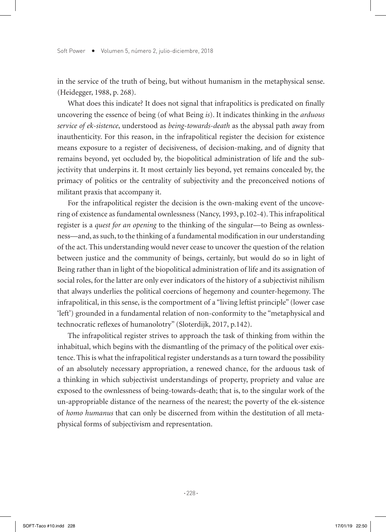in the service of the truth of being, but without humanism in the metaphysical sense. (Heidegger, 1988, p. 268).

What does this indicate? It does not signal that infrapolitics is predicated on finally uncovering the essence of being (of what Being *is*). It indicates thinking in the *arduous service of ek-sistence*, understood as *being-towards-death* as the abyssal path away from inauthenticity. For this reason, in the infrapolitical register the decision for existence means exposure to a register of decisiveness, of decision-making, and of dignity that remains beyond, yet occluded by, the biopolitical administration of life and the subjectivity that underpins it. It most certainly lies beyond, yet remains concealed by, the primacy of politics or the centrality of subjectivity and the preconceived notions of militant praxis that accompany it.

For the infrapolitical register the decision is the own-making event of the uncovering of existence as fundamental ownlessness (Nancy, 1993, p.102-4). This infrapolitical register is a *quest for an opening* to the thinking of the singular—to Being as ownlessness—and, as such, to the thinking of a fundamental modification in our understanding of the act. This understanding would never cease to uncover the question of the relation between justice and the community of beings, certainly, but would do so in light of Being rather than in light of the biopolitical administration of life and its assignation of social roles, for the latter are only ever indicators of the history of a subjectivist nihilism that always underlies the political coercions of hegemony and counter-hegemony. The infrapolitical, in this sense, is the comportment of a "living leftist principle" (lower case 'left') grounded in a fundamental relation of non-conformity to the "metaphysical and technocratic reflexes of humanolotry" (Sloterdijk, 2017, p.142).

The infrapolitical register strives to approach the task of thinking from within the inhabitual, which begins with the dismantling of the primacy of the political over existence. This is what the infrapolitical register understands as a turn toward the possibility of an absolutely necessary appropriation, a renewed chance, for the arduous task of a thinking in which subjectivist understandings of property, propriety and value are exposed to the ownlessness of being-towards-death; that is, to the singular work of the un-appropriable distance of the nearness of the nearest; the poverty of the ek-sistence of *homo humanus* that can only be discerned from within the destitution of all metaphysical forms of subjectivism and representation.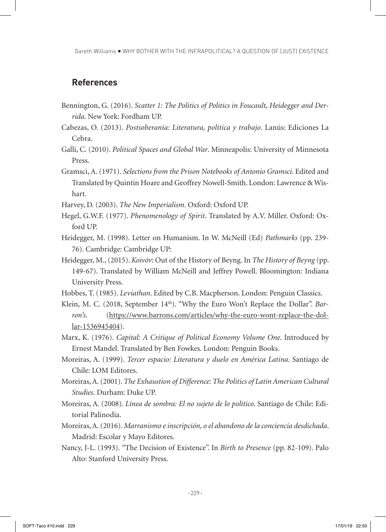Gareth Williams . WHY BOTHER WITH THE INFRAPOLITICAL? A QUESTION OF (JUST) EXISTENCE

## **References**

- Bennington, G. (2016). *Scatter 1: The Politics of Politics in Foucault, Heidegger and Derrida*. New York: Fordham UP.
- Cabezas, O. (2013). *Postsoberanía: Literatura, política y trabajo*. Lanús: Ediciones La Cebra.
- Galli, C. (2010). *Political Spaces and Global War*. Minneapolis: University of Minnesota Press.
- Gramsci, A. (1971). *Selections from the Prison Notebooks of Antonio Gramsci*. Edited and Translated by Quintin Hoare and Geoffrey Nowell-Smith. London: Lawrence & Wishart.
- Harvey, D. (2003). *The New Imperialism*. Oxford: Oxford UP.
- Hegel, G.W.F. (1977). *Phenomenology of Spirit*. Translated by A.V. Miller. Oxford: Oxford UP.
- Heidegger, M. (1998). Letter on Humanism. In W. McNeill (Ed) *Pathmarks* (pp. 239- 76). Cambridge: Cambridge UP:
- Heidegger, M., (2015). *Koivóv*: Out of the History of Beyng. In *The History of Beyng* (pp. 149-67). Translated by William McNeill and Jeffrey Powell. Bloomington: Indiana University Press.
- Hobbes, T. (1985). *Leviathan*. Edited by C.B. Macpherson. London: Penguin Classics.
- Klein, M. C. (2018, September 14<sup>th</sup>). "Why the Euro Won't Replace the Dollar". *Barron's*. (https://www.barrons.com/articles/why-the-euro-wont-replace-the-dollar-1536945404).
- Marx, K. (1976). *Capital: A Critique of Political Economy Volume One*. Introduced by Ernest Mandel. Translated by Ben Fowkes. London: Penguin Books.
- Moreiras, A. (1999). *Tercer espacio: Literatura y duelo en América Latina*. Santiago de Chile: LOM Editores.
- Moreiras, A. (2001). *The Exhaustion of Difference: The Politics of Latin American Cultural Studies*. Durham: Duke UP.
- Moreiras, A. (2008). *Línea de sombra: El no sujeto de lo político*. Santiago de Chile: Editorial Palinodia.
- Moreiras, A. (2016). *Marranismo e inscripción, o el abandono de la conciencia desdichada*. Madrid: Escolar y Mayo Editores.
- Nancy, J-L. (1993). *"*The Decision of Existence". In *Birth to Presence* (pp. 82-109). Palo Alto: Stanford University Press.